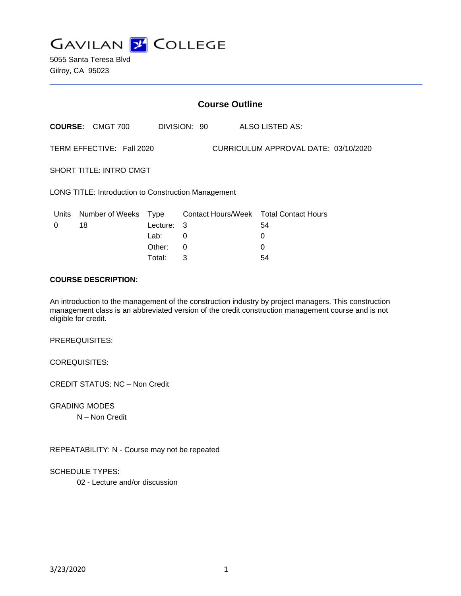**GAVILAN J COLLEGE** 

5055 Santa Teresa Blvd Gilroy, CA 95023

|                                                                   | <b>Course Outline</b>   |             |              |  |                                        |  |
|-------------------------------------------------------------------|-------------------------|-------------|--------------|--|----------------------------------------|--|
|                                                                   | <b>COURSE: CMGT 700</b> |             | DIVISION: 90 |  | ALSO LISTED AS:                        |  |
| TERM EFFECTIVE: Fall 2020<br>CURRICULUM APPROVAL DATE: 03/10/2020 |                         |             |              |  |                                        |  |
| <b>SHORT TITLE: INTRO CMGT</b>                                    |                         |             |              |  |                                        |  |
| <b>LONG TITLE: Introduction to Construction Management</b>        |                         |             |              |  |                                        |  |
| Units                                                             | Number of Weeks         | <b>Type</b> |              |  | Contact Hours/Week Total Contact Hours |  |
| 0                                                                 | 18                      | Lecture:    | 3            |  | 54                                     |  |
|                                                                   |                         | Lab:        | 0            |  | 0                                      |  |
|                                                                   |                         | Other:      | $\Omega$     |  | 0                                      |  |
|                                                                   |                         | Total:      | 3            |  | 54                                     |  |

#### **COURSE DESCRIPTION:**

An introduction to the management of the construction industry by project managers. This construction management class is an abbreviated version of the credit construction management course and is not eligible for credit.

PREREQUISITES:

COREQUISITES:

CREDIT STATUS: NC – Non Credit

GRADING MODES

N – Non Credit

REPEATABILITY: N - Course may not be repeated

SCHEDULE TYPES:

02 - Lecture and/or discussion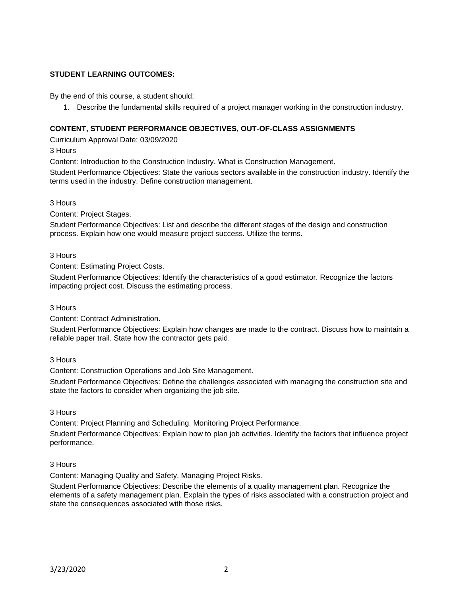### **STUDENT LEARNING OUTCOMES:**

By the end of this course, a student should:

1. Describe the fundamental skills required of a project manager working in the construction industry.

### **CONTENT, STUDENT PERFORMANCE OBJECTIVES, OUT-OF-CLASS ASSIGNMENTS**

Curriculum Approval Date: 03/09/2020

3 Hours

Content: Introduction to the Construction Industry. What is Construction Management.

Student Performance Objectives: State the various sectors available in the construction industry. Identify the terms used in the industry. Define construction management.

3 Hours

Content: Project Stages.

Student Performance Objectives: List and describe the different stages of the design and construction process. Explain how one would measure project success. Utilize the terms.

3 Hours

Content: Estimating Project Costs.

Student Performance Objectives: Identify the characteristics of a good estimator. Recognize the factors impacting project cost. Discuss the estimating process.

3 Hours

Content: Contract Administration.

Student Performance Objectives: Explain how changes are made to the contract. Discuss how to maintain a reliable paper trail. State how the contractor gets paid.

### 3 Hours

Content: Construction Operations and Job Site Management.

Student Performance Objectives: Define the challenges associated with managing the construction site and state the factors to consider when organizing the job site.

#### 3 Hours

Content: Project Planning and Scheduling. Monitoring Project Performance.

Student Performance Objectives: Explain how to plan job activities. Identify the factors that influence project performance.

### 3 Hours

Content: Managing Quality and Safety. Managing Project Risks.

Student Performance Objectives: Describe the elements of a quality management plan. Recognize the elements of a safety management plan. Explain the types of risks associated with a construction project and state the consequences associated with those risks.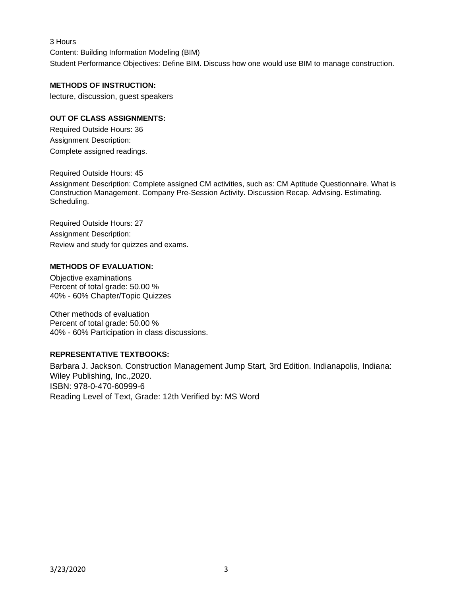3 Hours

Content: Building Information Modeling (BIM) Student Performance Objectives: Define BIM. Discuss how one would use BIM to manage construction.

## **METHODS OF INSTRUCTION:**

lecture, discussion, guest speakers

### **OUT OF CLASS ASSIGNMENTS:**

Required Outside Hours: 36 Assignment Description: Complete assigned readings.

Required Outside Hours: 45

Assignment Description: Complete assigned CM activities, such as: CM Aptitude Questionnaire. What is Construction Management. Company Pre-Session Activity. Discussion Recap. Advising. Estimating. Scheduling.

Required Outside Hours: 27 Assignment Description: Review and study for quizzes and exams.

### **METHODS OF EVALUATION:**

Objective examinations Percent of total grade: 50.00 % 40% - 60% Chapter/Topic Quizzes

Other methods of evaluation Percent of total grade: 50.00 % 40% - 60% Participation in class discussions.

### **REPRESENTATIVE TEXTBOOKS:**

Barbara J. Jackson. Construction Management Jump Start, 3rd Edition. Indianapolis, Indiana: Wiley Publishing, Inc.,2020. ISBN: 978-0-470-60999-6 Reading Level of Text, Grade: 12th Verified by: MS Word